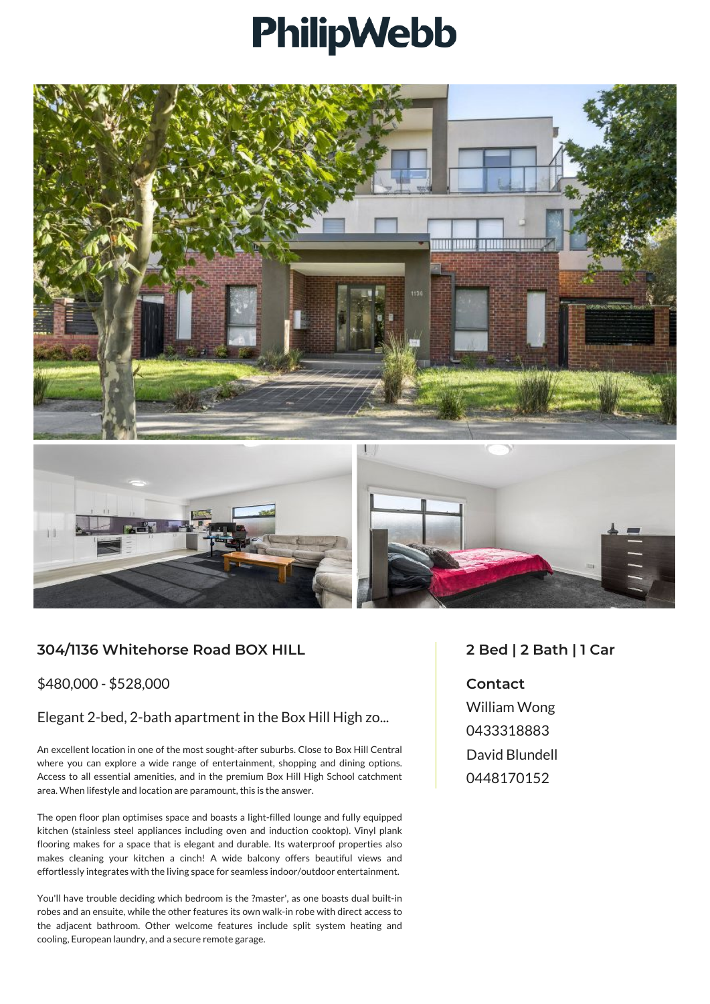## PhilipWebb



## **304/1136 Whitehorse Road BOX HILL**

\$480,000 - \$528,000

## Elegant 2-bed, 2-bath apartment in the Box Hill High zo...

An excellent location in one of the most sought-after suburbs. Close to Box Hill Central where you can explore a wide range of entertainment, shopping and dining options. Access to all essential amenities, and in the premium Box Hill High School catchment area. When lifestyle and location are paramount, this is the answer.

The open floor plan optimises space and boasts a light-filled lounge and fully equipped kitchen (stainless steel appliances including oven and induction cooktop). Vinyl plank flooring makes for a space that is elegant and durable. Its waterproof properties also makes cleaning your kitchen a cinch! A wide balcony offers beautiful views and effortlessly integrates with the living space for seamless indoor/outdoor entertainment.

You'll have trouble deciding which bedroom is the ?master', as one boasts dual built-in robes and an ensuite, while the other features its own walk-in robe with direct access to the adjacent bathroom. Other welcome features include split system heating and cooling, European laundry, and a secure remote garage.

## **2 Bed | 2 Bath | 1 Car**

**Contact** William Wong 0433318883 David Blundell 0448170152